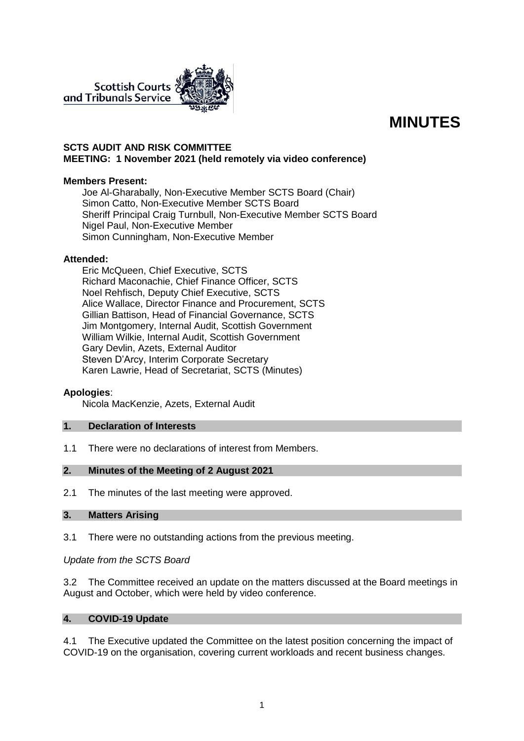

# **MINUTES**

### **SCTS AUDIT AND RISK COMMITTEE MEETING: 1 November 2021 (held remotely via video conference)**

### **Members Present:**

Joe Al-Gharabally, Non-Executive Member SCTS Board (Chair) Simon Catto, Non-Executive Member SCTS Board Sheriff Principal Craig Turnbull, Non-Executive Member SCTS Board Nigel Paul, Non-Executive Member Simon Cunningham, Non-Executive Member

### **Attended:**

Eric McQueen, Chief Executive, SCTS Richard Maconachie, Chief Finance Officer, SCTS Noel Rehfisch, Deputy Chief Executive, SCTS Alice Wallace, Director Finance and Procurement, SCTS Gillian Battison, Head of Financial Governance, SCTS Jim Montgomery, Internal Audit, Scottish Government William Wilkie, Internal Audit, Scottish Government Gary Devlin, Azets, External Auditor Steven D'Arcy, Interim Corporate Secretary Karen Lawrie, Head of Secretariat, SCTS (Minutes)

### **Apologies**:

Nicola MacKenzie, Azets, External Audit

### **1. Declaration of Interests**

1.1 There were no declarations of interest from Members.

### **2. Minutes of the Meeting of 2 August 2021**

2.1 The minutes of the last meeting were approved.

# **3. Matters Arising**

3.1 There were no outstanding actions from the previous meeting.

*Update from the SCTS Board*

3.2 The Committee received an update on the matters discussed at the Board meetings in August and October, which were held by video conference.

### **4. COVID-19 Update**

4.1 The Executive updated the Committee on the latest position concerning the impact of COVID-19 on the organisation, covering current workloads and recent business changes.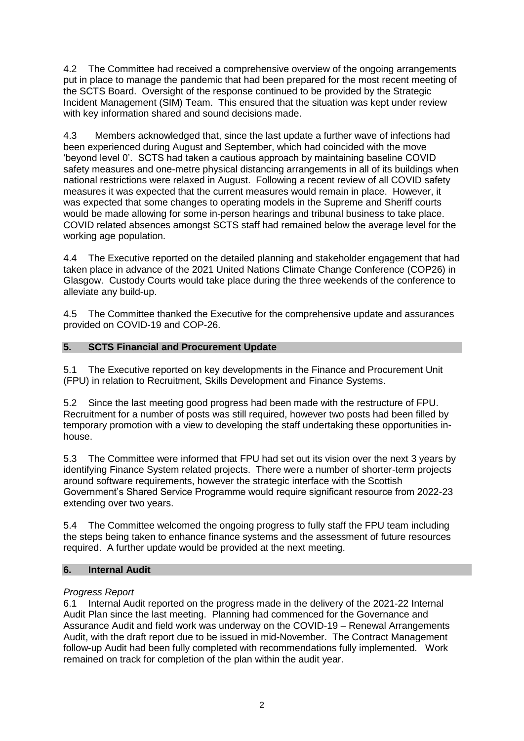4.2 The Committee had received a comprehensive overview of the ongoing arrangements put in place to manage the pandemic that had been prepared for the most recent meeting of the SCTS Board. Oversight of the response continued to be provided by the Strategic Incident Management (SIM) Team. This ensured that the situation was kept under review with key information shared and sound decisions made.

4.3 Members acknowledged that, since the last update a further wave of infections had been experienced during August and September, which had coincided with the move 'beyond level 0'. SCTS had taken a cautious approach by maintaining baseline COVID safety measures and one-metre physical distancing arrangements in all of its buildings when national restrictions were relaxed in August. Following a recent review of all COVID safety measures it was expected that the current measures would remain in place. However, it was expected that some changes to operating models in the Supreme and Sheriff courts would be made allowing for some in-person hearings and tribunal business to take place. COVID related absences amongst SCTS staff had remained below the average level for the working age population.

4.4 The Executive reported on the detailed planning and stakeholder engagement that had taken place in advance of the 2021 United Nations Climate Change Conference (COP26) in Glasgow. Custody Courts would take place during the three weekends of the conference to alleviate any build-up.

4.5 The Committee thanked the Executive for the comprehensive update and assurances provided on COVID-19 and COP-26.

# **5. SCTS Financial and Procurement Update**

5.1 The Executive reported on key developments in the Finance and Procurement Unit (FPU) in relation to Recruitment, Skills Development and Finance Systems.

5.2 Since the last meeting good progress had been made with the restructure of FPU. Recruitment for a number of posts was still required, however two posts had been filled by temporary promotion with a view to developing the staff undertaking these opportunities inhouse.

5.3 The Committee were informed that FPU had set out its vision over the next 3 years by identifying Finance System related projects. There were a number of shorter-term projects around software requirements, however the strategic interface with the Scottish Government's Shared Service Programme would require significant resource from 2022-23 extending over two years.

5.4 The Committee welcomed the ongoing progress to fully staff the FPU team including the steps being taken to enhance finance systems and the assessment of future resources required. A further update would be provided at the next meeting.

# **6. Internal Audit**

# *Progress Report*

6.1 Internal Audit reported on the progress made in the delivery of the 2021-22 Internal Audit Plan since the last meeting. Planning had commenced for the Governance and Assurance Audit and field work was underway on the COVID-19 – Renewal Arrangements Audit, with the draft report due to be issued in mid-November. The Contract Management follow-up Audit had been fully completed with recommendations fully implemented. Work remained on track for completion of the plan within the audit year.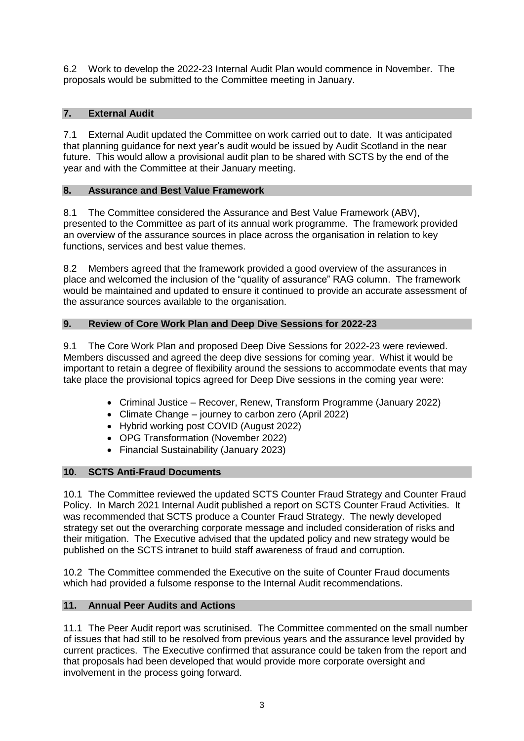6.2 Work to develop the 2022-23 Internal Audit Plan would commence in November. The proposals would be submitted to the Committee meeting in January.

# **7. External Audit**

7.1 External Audit updated the Committee on work carried out to date. It was anticipated that planning guidance for next year's audit would be issued by Audit Scotland in the near future. This would allow a provisional audit plan to be shared with SCTS by the end of the year and with the Committee at their January meeting.

# **8. Assurance and Best Value Framework**

8.1 The Committee considered the Assurance and Best Value Framework (ABV), presented to the Committee as part of its annual work programme. The framework provided an overview of the assurance sources in place across the organisation in relation to key functions, services and best value themes.

8.2 Members agreed that the framework provided a good overview of the assurances in place and welcomed the inclusion of the "quality of assurance" RAG column. The framework would be maintained and updated to ensure it continued to provide an accurate assessment of the assurance sources available to the organisation.

# **9. Review of Core Work Plan and Deep Dive Sessions for 2022-23**

9.1 The Core Work Plan and proposed Deep Dive Sessions for 2022-23 were reviewed. Members discussed and agreed the deep dive sessions for coming year. Whist it would be important to retain a degree of flexibility around the sessions to accommodate events that may take place the provisional topics agreed for Deep Dive sessions in the coming year were:

- Criminal Justice Recover, Renew, Transform Programme (January 2022)
- Climate Change journey to carbon zero (April 2022)
- Hybrid working post COVID (August 2022)
- OPG Transformation (November 2022)
- Financial Sustainability (January 2023)

# **10. SCTS Anti-Fraud Documents**

10.1 The Committee reviewed the updated SCTS Counter Fraud Strategy and Counter Fraud Policy. In March 2021 Internal Audit published a report on SCTS Counter Fraud Activities. It was recommended that SCTS produce a Counter Fraud Strategy. The newly developed strategy set out the overarching corporate message and included consideration of risks and their mitigation. The Executive advised that the updated policy and new strategy would be published on the SCTS intranet to build staff awareness of fraud and corruption.

10.2 The Committee commended the Executive on the suite of Counter Fraud documents which had provided a fulsome response to the Internal Audit recommendations.

# **11. Annual Peer Audits and Actions**

11.1 The Peer Audit report was scrutinised. The Committee commented on the small number of issues that had still to be resolved from previous years and the assurance level provided by current practices. The Executive confirmed that assurance could be taken from the report and that proposals had been developed that would provide more corporate oversight and involvement in the process going forward.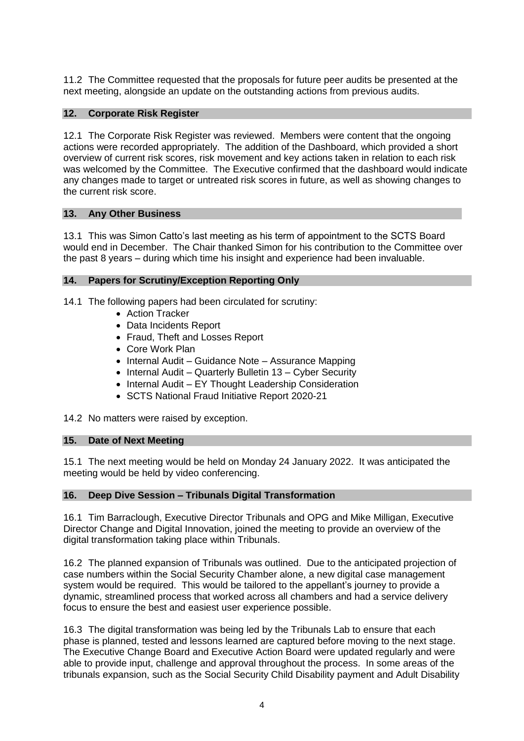11.2 The Committee requested that the proposals for future peer audits be presented at the next meeting, alongside an update on the outstanding actions from previous audits.

# **12. Corporate Risk Register**

12.1 The Corporate Risk Register was reviewed. Members were content that the ongoing actions were recorded appropriately. The addition of the Dashboard, which provided a short overview of current risk scores, risk movement and key actions taken in relation to each risk was welcomed by the Committee. The Executive confirmed that the dashboard would indicate any changes made to target or untreated risk scores in future, as well as showing changes to the current risk score.

# **13. Any Other Business**

13.1 This was Simon Catto's last meeting as his term of appointment to the SCTS Board would end in December. The Chair thanked Simon for his contribution to the Committee over the past 8 years – during which time his insight and experience had been invaluable.

# **14. Papers for Scrutiny/Exception Reporting Only**

14.1 The following papers had been circulated for scrutiny:

- Action Tracker
- Data Incidents Report
- Fraud, Theft and Losses Report
- Core Work Plan
- Internal Audit Guidance Note Assurance Mapping
- $\bullet$  Internal Audit Quarterly Bulletin 13 Cyber Security
- Internal Audit EY Thought Leadership Consideration
- SCTS National Fraud Initiative Report 2020-21

14.2 No matters were raised by exception.

### **15. Date of Next Meeting**

15.1 The next meeting would be held on Monday 24 January 2022. It was anticipated the meeting would be held by video conferencing.

### **16. Deep Dive Session – Tribunals Digital Transformation**

16.1 Tim Barraclough, Executive Director Tribunals and OPG and Mike Milligan, Executive Director Change and Digital Innovation, joined the meeting to provide an overview of the digital transformation taking place within Tribunals.

16.2 The planned expansion of Tribunals was outlined. Due to the anticipated projection of case numbers within the Social Security Chamber alone, a new digital case management system would be required. This would be tailored to the appellant's journey to provide a dynamic, streamlined process that worked across all chambers and had a service delivery focus to ensure the best and easiest user experience possible.

16.3 The digital transformation was being led by the Tribunals Lab to ensure that each phase is planned, tested and lessons learned are captured before moving to the next stage. The Executive Change Board and Executive Action Board were updated regularly and were able to provide input, challenge and approval throughout the process. In some areas of the tribunals expansion, such as the Social Security Child Disability payment and Adult Disability